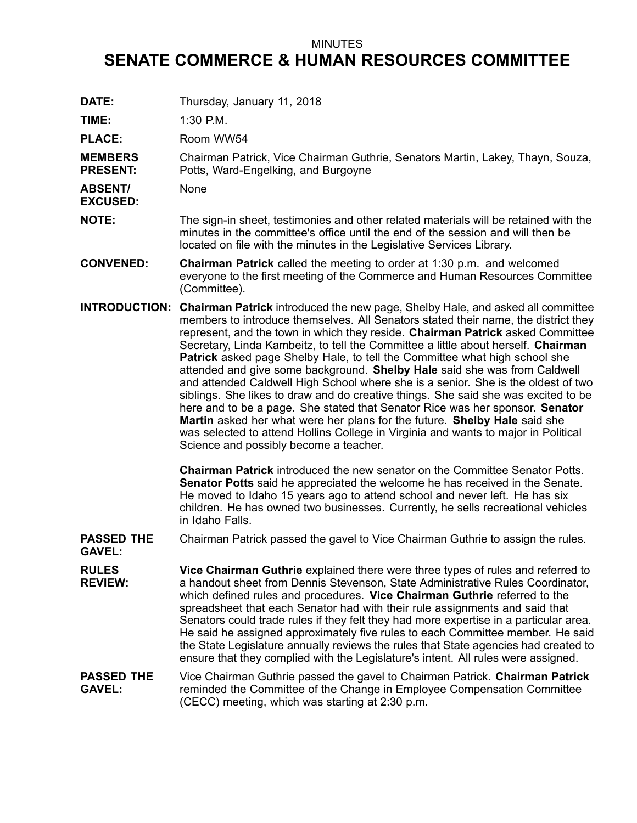## MINUTES

## **SENATE COMMERCE & HUMAN RESOURCES COMMITTEE**

DATE: Thursday, January 11, 2018

**TIME:** 1:30 P.M.

PLACE: Room WW54

**MEMBERS PRESENT:** Chairman Patrick, Vice Chairman Guthrie, Senators Martin, Lakey, Thayn, Souza, Potts, Ward-Engelking, and Burgoyne

**ABSENT/** None

**EXCUSED:**

**NOTE:** The sign-in sheet, testimonies and other related materials will be retained with the minutes in the committee's office until the end of the session and will then be located on file with the minutes in the Legislative Services Library.

- **CONVENED: Chairman Patrick** called the meeting to order at 1:30 p.m. and welcomed everyone to the first meeting of the Commerce and Human Resources Committee (Committee).
- **INTRODUCTION: Chairman Patrick** introduced the new page, Shelby Hale, and asked all committee members to introduce themselves. All Senators stated their name, the district they represent, and the town in which they reside. **Chairman Patrick** asked Committee Secretary, Linda Kambeitz, to tell the Committee <sup>a</sup> little about herself. **Chairman Patrick** asked page Shelby Hale, to tell the Committee what high school she attended and give some background. **Shelby Hale** said she was from Caldwell and attended Caldwell High School where she is <sup>a</sup> senior. She is the oldest of two siblings. She likes to draw and do creative things. She said she was excited to be here and to be <sup>a</sup> page. She stated that Senator Rice was her sponsor. **Senator Martin** asked her what were her plans for the future. **Shelby Hale** said she was selected to attend Hollins College in Virginia and wants to major in Political Science and possibly become <sup>a</sup> teacher.

**Chairman Patrick** introduced the new senator on the Committee Senator Potts. **Senator Potts** said he appreciated the welcome he has received in the Senate. He moved to Idaho 15 years ago to attend school and never left. He has six children. He has owned two businesses. Currently, he sells recreational vehicles in Idaho Falls.

**PASSED THE** Chairman Patrick passed the gavel to Vice Chairman Guthrie to assign the rules.

**GAVEL:**

**RULES REVIEW: Vice Chairman Guthrie** explained there were three types of rules and referred to <sup>a</sup> handout sheet from Dennis Stevenson, State Administrative Rules Coordinator, which defined rules and procedures. **Vice Chairman Guthrie** referred to the spreadsheet that each Senator had with their rule assignments and said that Senators could trade rules if they felt they had more expertise in <sup>a</sup> particular area. He said he assigned approximately five rules to each Committee member. He said the State Legislature annually reviews the rules that State agencies had created to ensure that they complied with the Legislature's intent. All rules were assigned.

**PASSED THE GAVEL:** Vice Chairman Guthrie passed the gavel to Chairman Patrick. **Chairman Patrick** reminded the Committee of the Change in Employee Compensation Committee (CECC) meeting, which was starting at 2:30 p.m.